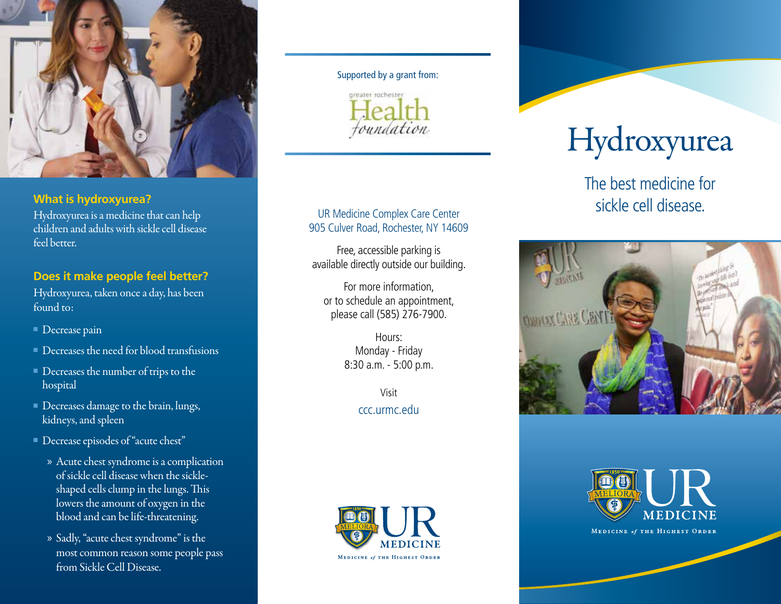

## **What is hydroxyurea?**

Hydroxyurea is a medicine that can help children and adults with sickle cell disease feel better.

# **Does it make people feel better?**

Hydroxyurea, taken once a day, has been found to:

- Decrease pain
- Decreases the need for blood transfusions
- Decreases the number of trips to the hospital
- Decreases damage to the brain, lungs, kidneys, and spleen
- Decrease episodes of "acute chest"
	- » Acute chest syndrome is a complication of sickle cell disease when the sickleshaped cells clump in the lungs. This lowers the amount of oxygen in the blood and can be life-threatening.
	- » Sadly, "acute chest syndrome" is the most common reason some people pass from Sickle Cell Disease.

#### Supported by a grant from:



## UR Medicine Complex Care Center 905 Culver Road, Rochester, NY 14609

Free, accessible parking is available directly outside our building.

For more information, or to schedule an appointment, please call (585) 276-7900.

> Hours: Monday - Friday 8:30 a.m. - 5:00 p.m.

> > Visit ccc.urmc.edu



# Hydroxyurea

The best medicine for sickle cell disease.





MEDICINE of THE HIGHEST ORDER